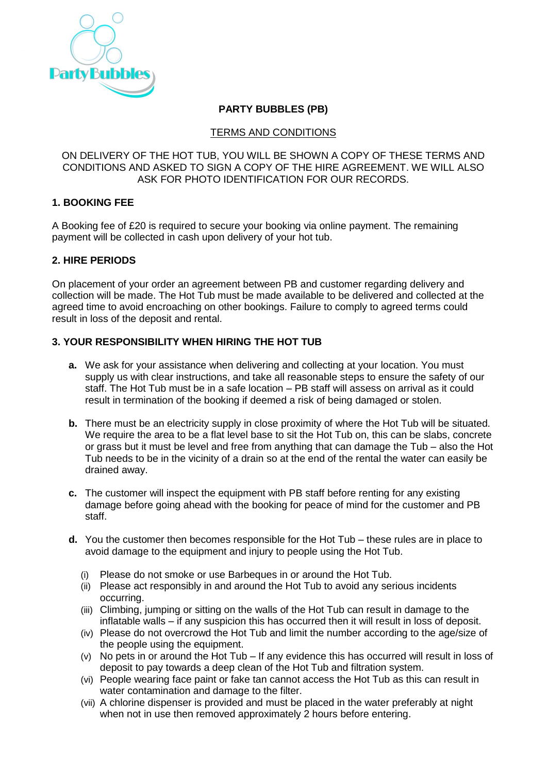

# **PARTY BUBBLES (PB)**

## TERMS AND CONDITIONS

ON DELIVERY OF THE HOT TUB, YOU WILL BE SHOWN A COPY OF THESE TERMS AND CONDITIONS AND ASKED TO SIGN A COPY OF THE HIRE AGREEMENT. WE WILL ALSO ASK FOR PHOTO IDENTIFICATION FOR OUR RECORDS.

# **1. BOOKING FEE**

A Booking fee of £20 is required to secure your booking via online payment. The remaining payment will be collected in cash upon delivery of your hot tub.

# **2. HIRE PERIODS**

On placement of your order an agreement between PB and customer regarding delivery and collection will be made. The Hot Tub must be made available to be delivered and collected at the agreed time to avoid encroaching on other bookings. Failure to comply to agreed terms could result in loss of the deposit and rental.

# **3. YOUR RESPONSIBILITY WHEN HIRING THE HOT TUB**

- **a.** We ask for your assistance when delivering and collecting at your location. You must supply us with clear instructions, and take all reasonable steps to ensure the safety of our staff. The Hot Tub must be in a safe location – PB staff will assess on arrival as it could result in termination of the booking if deemed a risk of being damaged or stolen.
- **b.** There must be an electricity supply in close proximity of where the Hot Tub will be situated. We require the area to be a flat level base to sit the Hot Tub on, this can be slabs, concrete or grass but it must be level and free from anything that can damage the Tub – also the Hot Tub needs to be in the vicinity of a drain so at the end of the rental the water can easily be drained away.
- **c.** The customer will inspect the equipment with PB staff before renting for any existing damage before going ahead with the booking for peace of mind for the customer and PB staff.
- **d.** You the customer then becomes responsible for the Hot Tub these rules are in place to avoid damage to the equipment and injury to people using the Hot Tub.
	- (i) Please do not smoke or use Barbeques in or around the Hot Tub.
	- (ii) Please act responsibly in and around the Hot Tub to avoid any serious incidents occurring.
	- (iii) Climbing, jumping or sitting on the walls of the Hot Tub can result in damage to the inflatable walls – if any suspicion this has occurred then it will result in loss of deposit.
	- (iv) Please do not overcrowd the Hot Tub and limit the number according to the age/size of the people using the equipment.
	- (v) No pets in or around the Hot Tub If any evidence this has occurred will result in loss of deposit to pay towards a deep clean of the Hot Tub and filtration system.
	- (vi) People wearing face paint or fake tan cannot access the Hot Tub as this can result in water contamination and damage to the filter.
	- (vii) A chlorine dispenser is provided and must be placed in the water preferably at night when not in use then removed approximately 2 hours before entering.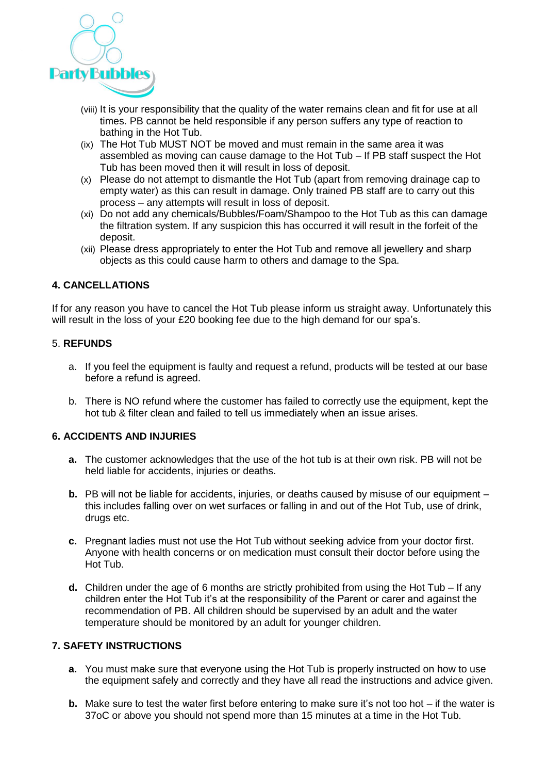

- (viii) It is your responsibility that the quality of the water remains clean and fit for use at all times. PB cannot be held responsible if any person suffers any type of reaction to bathing in the Hot Tub.
- (ix) The Hot Tub MUST NOT be moved and must remain in the same area it was assembled as moving can cause damage to the Hot Tub – If PB staff suspect the Hot Tub has been moved then it will result in loss of deposit.
- (x) Please do not attempt to dismantle the Hot Tub (apart from removing drainage cap to empty water) as this can result in damage. Only trained PB staff are to carry out this process – any attempts will result in loss of deposit.
- (xi) Do not add any chemicals/Bubbles/Foam/Shampoo to the Hot Tub as this can damage the filtration system. If any suspicion this has occurred it will result in the forfeit of the deposit.
- (xii) Please dress appropriately to enter the Hot Tub and remove all jewellery and sharp objects as this could cause harm to others and damage to the Spa.

# **4. CANCELLATIONS**

If for any reason you have to cancel the Hot Tub please inform us straight away. Unfortunately this will result in the loss of your £20 booking fee due to the high demand for our spa's.

### 5. **REFUNDS**

- a. If you feel the equipment is faulty and request a refund, products will be tested at our base before a refund is agreed.
- b. There is NO refund where the customer has failed to correctly use the equipment, kept the hot tub & filter clean and failed to tell us immediately when an issue arises.

## **6. ACCIDENTS AND INJURIES**

- **a.** The customer acknowledges that the use of the hot tub is at their own risk. PB will not be held liable for accidents, injuries or deaths.
- **b.** PB will not be liable for accidents, injuries, or deaths caused by misuse of our equipment this includes falling over on wet surfaces or falling in and out of the Hot Tub, use of drink, drugs etc.
- **c.** Pregnant ladies must not use the Hot Tub without seeking advice from your doctor first. Anyone with health concerns or on medication must consult their doctor before using the Hot Tub.
- **d.** Children under the age of 6 months are strictly prohibited from using the Hot Tub If any children enter the Hot Tub it's at the responsibility of the Parent or carer and against the recommendation of PB. All children should be supervised by an adult and the water temperature should be monitored by an adult for younger children.

## **7. SAFETY INSTRUCTIONS**

- **a.** You must make sure that everyone using the Hot Tub is properly instructed on how to use the equipment safely and correctly and they have all read the instructions and advice given.
- **b.** Make sure to test the water first before entering to make sure it's not too hot if the water is 37oC or above you should not spend more than 15 minutes at a time in the Hot Tub.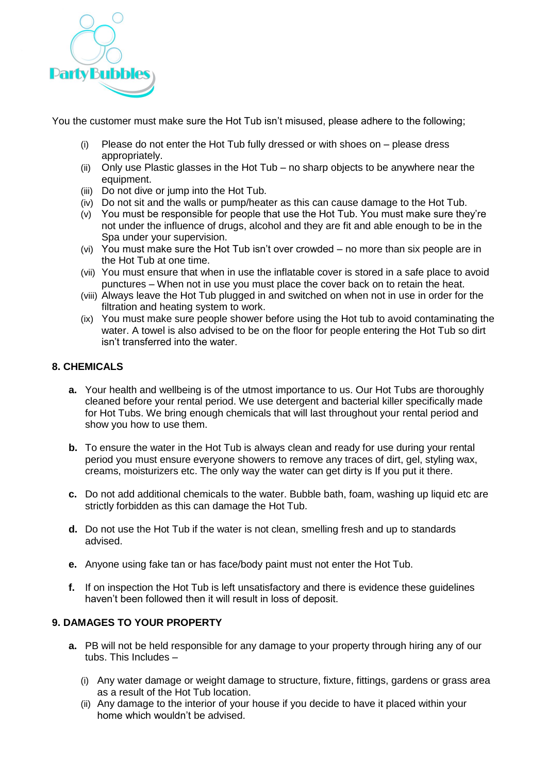

You the customer must make sure the Hot Tub isn't misused, please adhere to the following;

- (i) Please do not enter the Hot Tub fully dressed or with shoes on please dress appropriately.
- (ii) Only use Plastic glasses in the Hot Tub no sharp objects to be anywhere near the equipment.
- (iii) Do not dive or jump into the Hot Tub.
- (iv) Do not sit and the walls or pump/heater as this can cause damage to the Hot Tub.
- (v) You must be responsible for people that use the Hot Tub. You must make sure they're not under the influence of drugs, alcohol and they are fit and able enough to be in the Spa under your supervision.
- (vi) You must make sure the Hot Tub isn't over crowded no more than six people are in the Hot Tub at one time.
- (vii) You must ensure that when in use the inflatable cover is stored in a safe place to avoid punctures – When not in use you must place the cover back on to retain the heat.
- (viii) Always leave the Hot Tub plugged in and switched on when not in use in order for the filtration and heating system to work.
- (ix) You must make sure people shower before using the Hot tub to avoid contaminating the water. A towel is also advised to be on the floor for people entering the Hot Tub so dirt isn't transferred into the water.

## **8. CHEMICALS**

- **a.** Your health and wellbeing is of the utmost importance to us. Our Hot Tubs are thoroughly cleaned before your rental period. We use detergent and bacterial killer specifically made for Hot Tubs. We bring enough chemicals that will last throughout your rental period and show you how to use them.
- **b.** To ensure the water in the Hot Tub is always clean and ready for use during your rental period you must ensure everyone showers to remove any traces of dirt, gel, styling wax, creams, moisturizers etc. The only way the water can get dirty is If you put it there.
- **c.** Do not add additional chemicals to the water. Bubble bath, foam, washing up liquid etc are strictly forbidden as this can damage the Hot Tub.
- **d.** Do not use the Hot Tub if the water is not clean, smelling fresh and up to standards advised.
- **e.** Anyone using fake tan or has face/body paint must not enter the Hot Tub.
- **f.** If on inspection the Hot Tub is left unsatisfactory and there is evidence these guidelines haven't been followed then it will result in loss of deposit.

## **9. DAMAGES TO YOUR PROPERTY**

- **a.** PB will not be held responsible for any damage to your property through hiring any of our tubs. This Includes –
	- (i) Any water damage or weight damage to structure, fixture, fittings, gardens or grass area as a result of the Hot Tub location.
	- (ii) Any damage to the interior of your house if you decide to have it placed within your home which wouldn't be advised.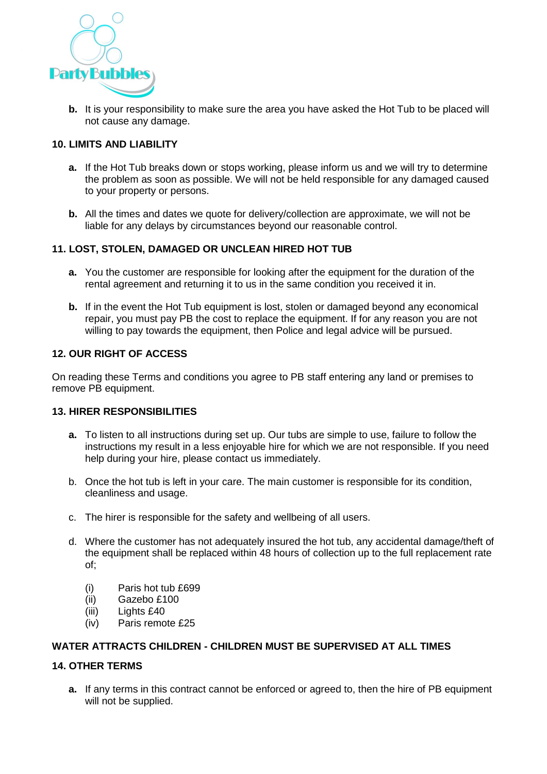

**b.** It is your responsibility to make sure the area you have asked the Hot Tub to be placed will not cause any damage.

## **10. LIMITS AND LIABILITY**

- **a.** If the Hot Tub breaks down or stops working, please inform us and we will try to determine the problem as soon as possible. We will not be held responsible for any damaged caused to your property or persons.
- **b.** All the times and dates we quote for delivery/collection are approximate, we will not be liable for any delays by circumstances beyond our reasonable control.

### **11. LOST, STOLEN, DAMAGED OR UNCLEAN HIRED HOT TUB**

- **a.** You the customer are responsible for looking after the equipment for the duration of the rental agreement and returning it to us in the same condition you received it in.
- **b.** If in the event the Hot Tub equipment is lost, stolen or damaged beyond any economical repair, you must pay PB the cost to replace the equipment. If for any reason you are not willing to pay towards the equipment, then Police and legal advice will be pursued.

#### **12. OUR RIGHT OF ACCESS**

On reading these Terms and conditions you agree to PB staff entering any land or premises to remove PB equipment.

### **13. HIRER RESPONSIBILITIES**

- **a.** To listen to all instructions during set up. Our tubs are simple to use, failure to follow the instructions my result in a less enjoyable hire for which we are not responsible. If you need help during your hire, please contact us immediately.
- b. Once the hot tub is left in your care. The main customer is responsible for its condition, cleanliness and usage.
- c. The hirer is responsible for the safety and wellbeing of all users.
- d. Where the customer has not adequately insured the hot tub, any accidental damage/theft of the equipment shall be replaced within 48 hours of collection up to the full replacement rate of;
	- (i) Paris hot tub £699
	- (ii) Gazebo £100
	- (iii) Lights £40
	- (iv) Paris remote £25

### **WATER ATTRACTS CHILDREN - CHILDREN MUST BE SUPERVISED AT ALL TIMES**

#### **14. OTHER TERMS**

**a.** If any terms in this contract cannot be enforced or agreed to, then the hire of PB equipment will not be supplied.